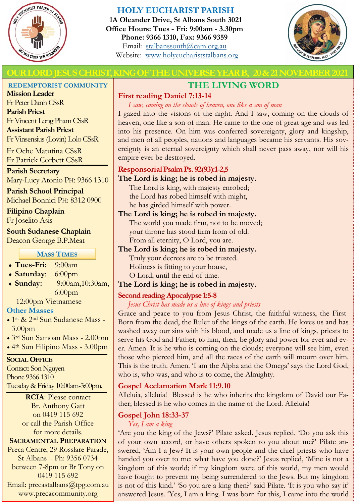

### **HOLY EUCHARIST PARISH**

**1A Oleander Drive, St Albans South 3021 Office Hours: Tues - Fri: 9:00am - 3.30pm Phone: 9366 1310, Fax: 9366 9359** Email: [stalbanssouth@cam.org.au](mailto:stalbanssouth@cam.org.au) Website:[www.holyeuchariststalbans.org](http://www.holyeuchariststalbans.org)



### **LORD JESUS CHRIST, KING OF THE UNIVERSE YEAR B, 20 & 21 NOVEMBER 2**

#### **REDEMPTORIST COMMUNITY**

**Mission Leader** Fr Peter Danh CSsR **Parish Priest** Fr Vincent Long Pham CSsR **Assistant Parish Priest**  Fr Vinsensius (Lovin) Lolo CSsR

Fr Oche Matutina CSsR Fr Patrick Corbett CSsR

#### **Parish Secretary**

Mary-Lucy Atonio PH: 9366 1310

**Parish School Principal** Michael Bonnici PH: 8312 0900

**Filipino Chaplain**

Fr Joselito Asis

#### **South Sudanese Chaplain**

Deacon George B.P.Meat

#### **MASS TIMES**

- **Tues-Fri:** 9:00am
- **Saturday**: 6:00pm
- **Sunday:** 9:00am,10:30am, 6:00pm

12:00pm Vietnamese

### **Other Masses**

- 1st & 2nd Sun Sudanese Mass 3.00pm
- 3rd Sun Samoan Mass 2.00pm
- 4th Sun Filipino Mass 3.00pm

### **SOCIAL OFFICE**

Contact: Son Nguyen Phone 9366 1310 Tuesday & Friday 10:00am-3:00pm.

**RCIA**: Please contact Br. Anthony Gatt on 0419 115 692 or call the Parish Office for more details. **SACRAMENTAL PREPARATION**

Preca Centre, 29 Rosslare Parade, St Albans – Ph: 9356 0734 between 7-8pm or Br Tony on 0419 115 692 Email: precastalbans@tpg.com.au www.precacommunity.org

# **THE LIVING WORD**

### **First reading Daniel 7:13-14**

*I saw, coming on the clouds of heaven, one like a son of man*

I gazed into the visions of the night. And I saw, coming on the clouds of heaven, one like a son of man. He came to the one of great age and was led into his presence. On him was conferred sovereignty, glory and kingship, and men of all peoples, nations and languages became his servants. His sovereignty is an eternal sovereignty which shall never pass away, nor will his empire ever be destroyed.

### **Responsorial Psalm Ps. 92(93):1-2,5**

#### **The Lord is king; he is robed in majesty.**

The Lord is king, with majesty enrobed; the Lord has robed himself with might, he has girded himself with power.

### **The Lord is king; he is robed in majesty.** The world you made firm, not to be moved; your throne has stood firm from of old. From all eternity, O Lord, you are.

### **The Lord is king; he is robed in majesty.** Truly your decrees are to be trusted. Holiness is fitting to your house, O Lord, until the end of time.

### **The Lord is king; he is robed in majesty.**

### **Second reading Apocalypse 1:5-8**

### *Jesus Christ has made us a line of kings and priests*

Grace and peace to you from Jesus Christ, the faithful witness, the First-Born from the dead, the Ruler of the kings of the earth. He loves us and has washed away our sins with his blood, and made us a line of kings, priests to serve his God and Father; to him, then, be glory and power for ever and ever. Amen. It is he who is coming on the clouds; everyone will see him, even those who pierced him, and all the races of the earth will mourn over him. This is the truth. Amen. 'I am the Alpha and the Omega' says the Lord God, who is, who was, and who is to come, the Almighty.

### **Gospel Acclamation Mark 11:9.10**

Alleluia, alleluia! Blessed is he who inherits the kingdom of David our Father; blessed is he who comes in the name of the Lord. Alleluia!

### **Gospel John 18:33-37**

*Yes, I am a king*

'Are you the king of the Jews?' Pilate asked. Jesus replied, 'Do you ask this of your own accord, or have others spoken to you about me?' Pilate answered, 'Am I a Jew? It is your own people and the chief priests who have handed you over to me: what have you done?' Jesus replied, 'Mine is not a kingdom of this world; if my kingdom were of this world, my men would have fought to prevent my being surrendered to the Jews. But my kingdom is not of this kind.' 'So you are a king then?' said Pilate. 'It is you who say it' answered Jesus. 'Yes, I am a king. I was born for this, I came into the world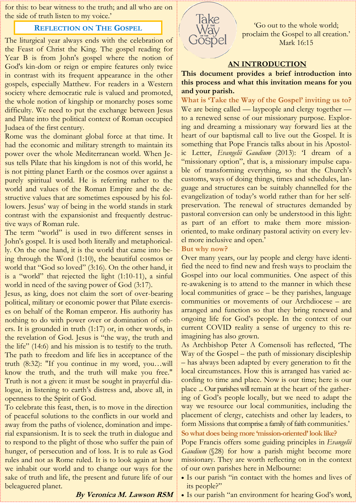for this: to bear witness to the truth; and all who are on the side of truth listen to my voice.'

#### **REFLECTION ON THE GOSPEL**

The liturgical year always ends with the celebration of the Feast of Christ the King. The gospel reading for Year B is from John's gospel where the notion of God's kin-dom or reign or empire features only twice in contrast with its frequent appearance in the other gospels, especially Matthew. For readers in a Western society where democratic rule is valued and promoted, the whole notion of kingship or monarchy poses some difficulty. We need to put the exchange between Jesus and Pilate into the political context of Roman occupied Judaea of the first century.

Rome was the dominant global force at that time. It had the economic and military strength to maintain its power over the whole Mediterranean world. When Jesus tells Pilate that his kingdom is not of this world, he is not pitting planet Earth or the cosmos over against a purely spiritual world. He is referring rather to the world and values of the Roman Empire and the destructive values that are sometimes espoused by his followers. Jesus' way of being in the world stands in stark contrast with the expansionist and frequently destructive ways of Roman rule.

The term "world" is used in two different senses in John's gospel. It is used both literally and metaphorically. On the one hand, it is the world that came into being through the Word (1:10), the beautiful cosmos or world that "God so loved" (3:16). On the other hand, it is a "world" that rejected the light (1:10-11), a sinful world in need of the saving power of God (3:17).

Jesus, as king, does not claim the sort of over-bearing political, military or economic power that Pilate exercises on behalf of the Roman emperor. His authority has nothing to do with power over or domination of others. It is grounded in truth (1:17) or, in other words, in the revelation of God. Jesus is "the way, the truth and the life" (14:6) and his mission is to testify to the truth. The path to freedom and life lies in acceptance of the truth (8:32): "If you continue in my word, you…will know the truth, and the truth will make you free." Truth is not a given: it must be sought in prayerful dialogue, in listening to earth's distress and, above all, in openness to the Spirit of God.

To celebrate this feast, then, is to move in the direction of peaceful solutions to the conflicts in our world and away from the paths of violence, domination and imperial expansionism. It is to seek the truth in dialogue and to respond to the plight of those who suffer the pain of hunger, of persecution and of loss. It is to rule as God rules and not as Rome ruled. It is to look again at how we inhabit our world and to change our ways for the sake of truth and life, the present and future life of our beleaguered planet.



'Go out to the whole world; proclaim the Gospel to all creation.' Mark 16:15

#### **AN INTRODUCTION**

#### **This document provides a brief introduction into this process and what this invitation means for you and your parish.**

**What is 'Take the Way of the Gospel' inviting us to?**  We are being called — laypeople and clergy together to a renewed sense of our missionary purpose. Exploring and dreaming a missionary way forward lies at the heart of our baptismal call to live out the Gospel. It is something that Pope Francis talks about in his Apostolic Letter, *Evangelii Gaudium* (2013): 'I dream of a "missionary option", that is, a missionary impulse capable of transforming everything, so that the Church's customs, ways of doing things, times and schedules, language and structures can be suitably channelled for the evangelization of today's world rather than for her selfpreservation. The renewal of structures demanded by pastoral conversion can only be understood in this light: as part of an effort to make them more missionoriented, to make ordinary pastoral activity on every level more inclusive and open.'

#### **But why now?**

Over many years, our lay people and clergy have identified the need to find new and fresh ways to proclaim the Gospel into our local communities. One aspect of this re-awakening is to attend to the manner in which these local communities of grace – be they parishes, language communities or movements of our Archdiocese – are arranged and function so that they bring renewed and ongoing life for God's people. In the context of our current COVID reality a sense of urgency to this reimagining has also grown.

As Archbishop Peter A Comensoli has reflected, 'The Way of the Gospel – the path of missionary discipleship – has always been adapted by every generation to fit the local circumstances. How this is arranged has varied according to time and place. Now is our time; here is our place ... Our parishes will remain at the heart of the gathering of God's people locally, but we need to adapt the way we resource our local communities, including the placement of clergy, catechists and other lay leaders, to form Missions that comprise a family of faith communities.'

#### **So what does being more 'mission-oriented' look like?**

Pope Francis offers some guiding principles in *Evangelii Gaudium* (\$28) for how a parish might become more missionary. They are worth reflecting on in the context of our own parishes here in Melbourne:

- Is our parish "in contact with the homes and lives of its people?"
- Is our parish "an environment for hearing God's word,

**By Veronica M. Lawson RSM**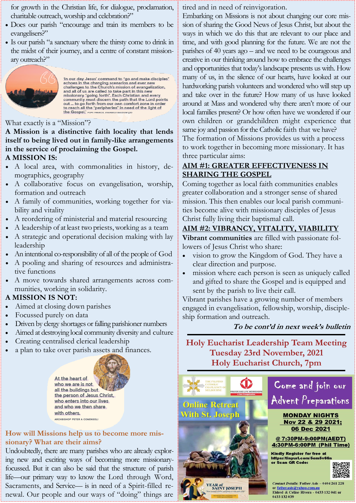### for growth in the Christian life, for dialogue, proclamation, charitable outreach, worship and celebration?"

- Does our parish "encourage and train its members to be evangelisers?"
- Is our parish "a sanctuary where the thirsty come to drink in the midst of their journey, and a centre of constant missionary outreach?"



'In our day Jesus' command to "go and make disciples"<br>echoes in the changing scenarios and ever new<br>challenges to the Church's mission of evangelization,<br>and all of us are called to take part in this new<br>missionary "going

### What exactly is a "Mission"?

**A Mission is a distinctive faith locality that lends itself to being lived out in family-like arrangements in the service of proclaiming the Gospel. A MISSION IS:** 

- A local area, with commonalities in history, demographics, geography
- A collaborative focus on evangelisation, worship, formation and outreach
- A family of communities, working together for viability and vitality
- A reordering of ministerial and material resourcing
- A leadership of at least two priests, working as a team
- A strategic and operational decision making with lay leadership
- An intentional co-responsibility of all of the people of God
- A pooling and sharing of resources and administrative functions
- A move towards shared arrangements across communities, working in solidarity.

### **A MISSION IS NOT:**

- Aimed at closing down parishes
- Focussed purely on data
- Driven by clergy shortages or falling parishioner numbers
- Aimed at destroying local community diversity and culture
- Creating centralised clerical leadership
- a plan to take over parish assets and finances.

At the heart of who we are is not all the buildings but the person of Jesus Christ, who enters into our lives and who we then share with others. ARCHBISHOP PETER A COMENSOLI

**How will Missions help us to become more missionary? What are their aims?** 

Undoubtedly, there are many parishes who are already exploring new and exciting ways of becoming more missionaryfocussed. But it can also be said that the structure of parish life—our primary way to know the Lord through Word, Sacraments, and Service— is in need of a Spirit-filled renewal. Our people and our ways of "doing" things are

tired and in need of reinvigoration.

Embarking on Missions is not about changing our core mission of sharing the Good News of Jesus Christ, but about the ways in which we do this that are relevant to our place and time, and with good planning for the future. We are not the parishes of 40 years ago – and we need to be courageous and creative in our thinking around how to embrace the challenges and opportunities that today's landscape presents us with. How many of us, in the silence of our hearts, have looked at our hardworking parish volunteers and wondered who will step up and take over in the future? How many of us have looked around at Mass and wondered why there aren't more of our local families present? Or how often have we wondered if our own children or grandchildren might experience that same joy and passion for the Catholic faith that we have? The formation of Missions provides us with a process to work together in becoming more missionary. It has three particular aims:

### **AIM #1: GREATER EFFECTIVENESS IN SHARING THE GOSPEL**

Coming together as local faith communities enables greater collaboration and a stronger sense of shared mission. This then enables our local parish communities become alive with missionary disciples of Jesus Christ fully living their baptismal call.

# **AIM #2: VIBRANCY, VITALITY, VIABILITY**

**Vibrant communities** are filled with passionate followers of Jesus Christ who share:

- vision to grow the Kingdom of God. They have a clear direction and purpose.
- mission where each person is seen as uniquely called and gifted to share the Gospel and is equipped and sent by the parish to live their call.

Vibrant parishes have a growing number of members engaged in evangelisation, fellowship, worship, discipleship formation and outreach.

### **To be cont'd in next week's bulletin**

**Holy Eucharist Leadership Team Meeting Tuesday 23rd November, 2021 Holy Eucharist Church, 7pm**